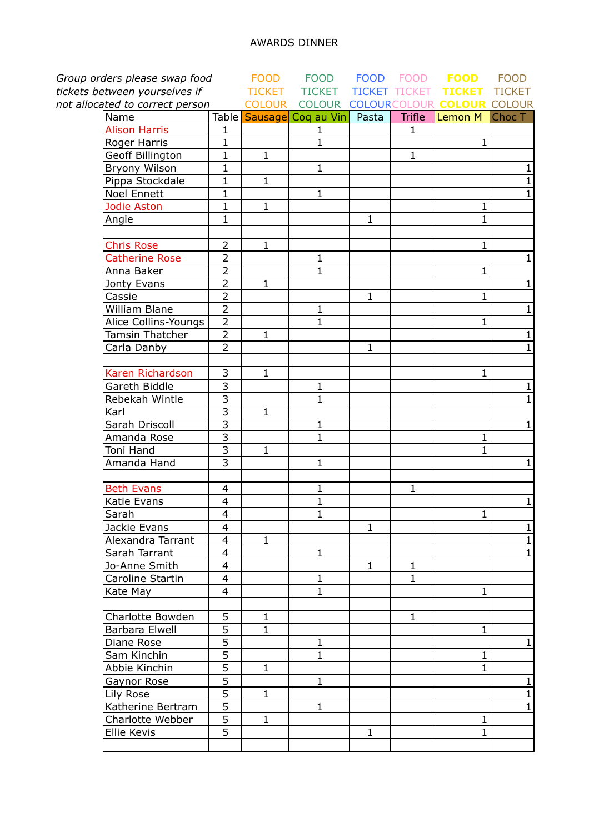| Group orders please swap food   |                           |                | <b>FOOD</b>                    |              | FOOD FOOD            | <b>FOOD</b>                       | <b>FOOD</b>    |
|---------------------------------|---------------------------|----------------|--------------------------------|--------------|----------------------|-----------------------------------|----------------|
| tickets between yourselves if   |                           | <b>TICKET</b>  | <b>TICKET</b>                  |              | <b>TICKET TICKET</b> | <b>TICKET</b>                     | <b>TICKET</b>  |
| not allocated to correct person |                           | <b>COLOUR</b>  |                                |              |                      | COLOUR COLOURCOLOUR COLOUR COLOUR |                |
| Name                            |                           |                | Table Sausage Coq au Vin Pasta |              |                      | Trifle Lemon M                    | Choc T         |
| <b>Alison Harris</b>            | $\mathbf{1}$              |                | $\mathbf{1}$                   |              | $\mathbf{1}$         |                                   |                |
| Roger Harris                    | $\mathbf{1}$              |                | $\mathbf{1}$                   |              |                      | 1                                 |                |
| Geoff Billington                | $\mathbf{1}$              | $\mathbf{1}$   |                                |              | $\mathbf{1}$         |                                   |                |
| Bryony Wilson                   | $\mathbf{1}$              |                | $\mathbf{1}$                   |              |                      |                                   | $\mathbf{1}$   |
| Pippa Stockdale                 | $\mathbf{1}$              | $\mathbf{1}$   |                                |              |                      |                                   | $\mathbf{1}$   |
| <b>Noel Ennett</b>              | $\mathbf{1}$              |                | $\mathbf{1}$                   |              |                      |                                   | $\mathbf{1}$   |
| Jodie Aston                     | $\mathbf{1}$              | $\overline{1}$ |                                |              |                      | $\mathbf{1}$                      |                |
| Angie                           | $\mathbf{1}$              |                |                                | $\mathbf{1}$ |                      | $\mathbf{1}$                      |                |
|                                 |                           |                |                                |              |                      |                                   |                |
| <b>Chris Rose</b>               | $\overline{2}$            | $\mathbf{1}$   |                                |              |                      | $\mathbf 1$                       |                |
| <b>Catherine Rose</b>           | $\overline{2}$            |                | $\mathbf{1}$                   |              |                      |                                   | $\mathbf{1}$   |
| Anna Baker                      | $\overline{2}$            |                | $\mathbf 1$                    |              |                      | 1                                 |                |
| Jonty Evans                     | $\overline{2}$            | $\mathbf{1}$   |                                |              |                      |                                   | $\mathbf{1}$   |
| Cassie                          | $\overline{2}$            |                |                                | $\mathbf{1}$ |                      | $\mathbf{1}$                      |                |
| William Blane                   | $\overline{2}$            |                | 1                              |              |                      |                                   | $\mathbf{1}$   |
| Alice Collins-Youngs            | $\overline{2}$            |                | $\mathbf 1$                    |              |                      | $\mathbf 1$                       |                |
| Tamsin Thatcher                 | $\overline{2}$            | $\mathbf{1}$   |                                |              |                      |                                   | $\mathbf{1}$   |
| Carla Danby                     | $\overline{2}$            |                |                                | $\mathbf{1}$ |                      |                                   | $\mathbf{1}$   |
| Karen Richardson                | 3                         | $\mathbf{1}$   |                                |              |                      | 1                                 |                |
| Gareth Biddle                   | $\overline{3}$            |                | $\mathbf{1}$                   |              |                      |                                   | $\mathbf{1}$   |
| Rebekah Wintle                  | $\overline{\overline{3}}$ |                | $\mathbf{1}$                   |              |                      |                                   | $\overline{1}$ |
| Karl                            | $\overline{3}$            | $\mathbf{1}$   |                                |              |                      |                                   |                |
| Sarah Driscoll                  | $\overline{3}$            |                | $\mathbf{1}$                   |              |                      |                                   | $\mathbf{1}$   |
| Amanda Rose                     | $\overline{3}$            |                | $\overline{1}$                 |              |                      | 1                                 |                |
| Toni Hand                       | $\overline{3}$            | $\mathbf{1}$   |                                |              |                      | 1                                 |                |
| Amanda Hand                     | $\overline{3}$            |                | $\mathbf 1$                    |              |                      |                                   | $\mathbf{1}$   |
| <b>Beth Evans</b>               | 4                         |                | $\mathbf 1$                    |              | 1                    |                                   |                |
| Katie Evans                     | 4                         |                | $\mathbf{1}$                   |              |                      |                                   | $\mathbf{1}$   |
| Sarah                           | $\overline{\mathbf{4}}$   |                | $\mathbf{1}$                   |              |                      | $\mathbf{1}$                      |                |
| Jackie Evans                    | $\overline{4}$            |                |                                | $\mathbf{1}$ |                      |                                   | $\mathbf{1}$   |
| Alexandra Tarrant               | 4                         | $\mathbf{1}$   |                                |              |                      |                                   | $\mathbf{1}$   |
| Sarah Tarrant                   | 4                         |                | $\mathbf{1}$                   |              |                      |                                   | $\mathbf{1}$   |
| Jo-Anne Smith                   | $\overline{\mathbf{4}}$   |                |                                | $\mathbf{1}$ | 1                    |                                   |                |
| Caroline Startin                | 4                         |                | $\mathbf 1$                    |              | 1                    |                                   |                |
| Kate May                        | 4                         |                | $\mathbf 1$                    |              |                      | 1                                 |                |
|                                 |                           |                |                                |              |                      |                                   |                |
| Charlotte Bowden                | 5                         | $\mathbf{1}$   |                                |              | $\mathbf{1}$         |                                   |                |
| Barbara Elwell                  | 5                         | 1              |                                |              |                      | 1                                 |                |
| Diane Rose                      | $\overline{5}$            |                | 1                              |              |                      |                                   | $\mathbf{1}$   |
| Sam Kinchin                     | $\overline{5}$            |                | $\mathbf{1}$                   |              |                      | 1                                 |                |
| Abbie Kinchin                   | 5                         | $\mathbf{1}$   |                                |              |                      | 1                                 |                |
| Gaynor Rose                     | $\overline{5}$            |                | $\mathbf 1$                    |              |                      |                                   | $\mathbf{1}$   |
| Lily Rose                       | $\overline{5}$            | $\mathbf{1}$   |                                |              |                      |                                   | $\mathbf{1}$   |
| Katherine Bertram               | $\overline{5}$            |                | $\mathbf{1}$                   |              |                      |                                   | $\mathbf{1}$   |
| Charlotte Webber                | $\overline{5}$            | $\mathbf{1}$   |                                |              |                      | 1                                 |                |
| Ellie Kevis                     | 5                         |                |                                | $\mathbf{1}$ |                      | 1                                 |                |
|                                 |                           |                |                                |              |                      |                                   |                |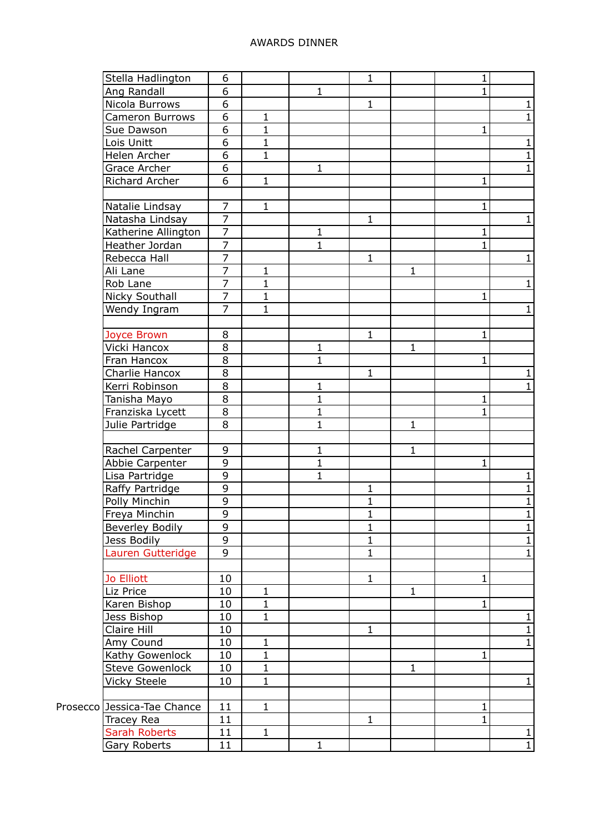## AWARDS DINNER

| Stella Hadlington           | 6              |              |                | $\mathbf{1}$                 |              | 1            |                                |
|-----------------------------|----------------|--------------|----------------|------------------------------|--------------|--------------|--------------------------------|
| Ang Randall                 | 6              |              | $\mathbf{1}$   |                              |              |              |                                |
| Nicola Burrows              | 6              |              |                | $\mathbf{1}$                 |              |              | $\mathbf{1}$                   |
| Cameron Burrows             | 6              | $\mathbf{1}$ |                |                              |              |              | $1\overline{ }$                |
| Sue Dawson                  | 6              | $\mathbf{1}$ |                |                              |              | 1            |                                |
| Lois Unitt                  | 6              | $\mathbf{1}$ |                |                              |              |              | $\mathbf{1}$                   |
| Helen Archer                | 6              | $\mathbf{1}$ |                |                              |              |              | $1\,$                          |
| Grace Archer                | 6              |              | $\mathbf{1}$   |                              |              |              | $\mathbf{1}$                   |
| Richard Archer              | 6              | $\mathbf{1}$ |                |                              |              | 1            |                                |
|                             |                |              |                |                              |              |              |                                |
| Natalie Lindsay             | $\overline{7}$ | $\mathbf{1}$ |                |                              |              | 1            |                                |
| Natasha Lindsay             | $\overline{7}$ |              |                | $\mathbf{1}$                 |              |              | $\mathbf{1}$                   |
| Katherine Allington         | $\overline{7}$ |              | $\mathbf{1}$   |                              |              | 1            |                                |
|                             | $\overline{7}$ |              | $\mathbf{1}$   |                              |              |              |                                |
| Heather Jordan              |                |              |                |                              |              |              |                                |
| Rebecca Hall                | $\overline{7}$ |              |                | $\mathbf 1$                  |              |              | $\mathbf{1}$                   |
| Ali Lane                    | $\overline{7}$ | 1            |                |                              | $\mathbf{1}$ |              |                                |
| Rob Lane                    | $\overline{7}$ | $\mathbf{1}$ |                |                              |              |              | $1\overline{ }$                |
| <b>Nicky Southall</b>       | $\overline{7}$ | $\mathbf{1}$ |                |                              |              | 1            |                                |
| Wendy Ingram                | $\overline{7}$ | 1            |                |                              |              |              | $\mathbf{1}$                   |
|                             |                |              |                |                              |              |              |                                |
| Joyce Brown                 | 8              |              |                | $\mathbf 1$                  |              | 1            |                                |
| Vicki Hancox                | 8              |              | $\mathbf{1}$   |                              | $\mathbf{1}$ |              |                                |
| Fran Hancox                 | 8              |              | $\mathbf{1}$   |                              |              | 1            |                                |
| Charlie Hancox              | 8              |              |                | $\mathbf{1}$                 |              |              | $\mathbf{1}$                   |
| Kerri Robinson              | 8              |              | $\mathbf{1}$   |                              |              |              | $\mathbf{1}$                   |
| Tanisha Mayo                | 8              |              | $\mathbf{1}$   |                              |              | 1            |                                |
| Franziska Lycett            | 8              |              | $\mathbf{1}$   |                              |              | 1            |                                |
| Julie Partridge             | 8              |              | $\mathbf{1}$   |                              | $\mathbf{1}$ |              |                                |
|                             |                |              |                |                              |              |              |                                |
| Rachel Carpenter            | 9              |              | $\mathbf{1}$   |                              | $\mathbf{1}$ |              |                                |
| Abbie Carpenter             | 9              |              | $\mathbf{1}$   |                              |              | 1            |                                |
| Lisa Partridge              | $\overline{9}$ |              | $\overline{1}$ |                              |              |              | $\mathbf{1}$                   |
| Raffy Partridge             | 9              |              |                | 1                            |              |              | $\overline{1}$                 |
| Polly Minchin               | 9              |              |                | $\mathbf{1}$                 |              |              | $\mathbf{1}$                   |
|                             | 9              |              |                |                              |              |              |                                |
| Freya Minchin               | 9              |              |                | $\mathbf{1}$<br>$\mathbf{1}$ |              |              | $\mathbf{1}$<br>$\overline{1}$ |
| Beverley Bodily             |                |              |                |                              |              |              |                                |
| Jess Bodily                 | 9              |              |                | $\mathbf 1$                  |              |              | $\mathbf{1}$                   |
| Lauren Gutteridge           | 9              |              |                | $\mathbf{1}$                 |              |              | $\mathbf{1}$                   |
|                             |                |              |                |                              |              |              |                                |
| Jo Elliott                  | 10             |              |                | $\mathbf{1}$                 |              | 1            |                                |
| Liz Price                   | 10             | $\mathbf{1}$ |                |                              | $\mathbf{1}$ |              |                                |
| Karen Bishop                | 10             | $\mathbf{1}$ |                |                              |              | 1            |                                |
| Jess Bishop                 | 10             | $\mathbf{1}$ |                |                              |              |              | $\mathbf{1}$                   |
| Claire Hill                 | 10             |              |                | $\mathbf{1}$                 |              |              | $\mathbf{1}$                   |
| Amy Cound                   | 10             | 1            |                |                              |              |              | $\mathbf{1}$                   |
| Kathy Gowenlock             | 10             | $\mathbf{1}$ |                |                              |              | $\mathbf{1}$ |                                |
| <b>Steve Gowenlock</b>      | 10             | 1            |                |                              | $\mathbf{1}$ |              |                                |
| Vicky Steele                | 10             | $\mathbf{1}$ |                |                              |              |              | $\mathbf{1}$                   |
|                             |                |              |                |                              |              |              |                                |
| Prosecco Jessica-Tae Chance | 11             | $\mathbf{1}$ |                |                              |              | 1            |                                |
| Tracey Rea                  | 11             |              |                | $\mathbf 1$                  |              | 1            |                                |
| Sarah Roberts               | 11             | $\mathbf{1}$ |                |                              |              |              | $\overline{1}$                 |
| Gary Roberts                | 11             |              | $\mathbf{1}$   |                              |              |              | $\mathbf{1}$                   |
|                             |                |              |                |                              |              |              |                                |